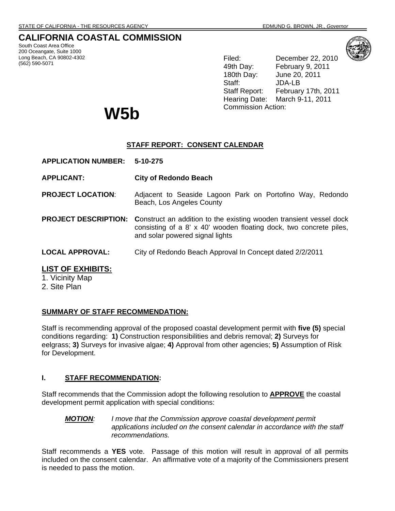# **CALIFORNIA COASTAL COMMISSION**

South Coast Area Office 200 Oceangate, Suite 1000 Long Beach, CA 90802-4302 (562) 590-5071



Filed: December 22, 2010 49th Day: February 9, 2011 180th Day: June 20, 2011 Staff: JDA-LB Staff Report: February 17th, 2011 Hearing Date: March 9-11, 2011

# Commission Action: **W5b**

# **STAFF REPORT: CONSENT CALENDAR**

**APPLICATION NUMBER: 5-10-275**

**APPLICANT: City of Redondo Beach** 

- **PROJECT LOCATION**: Adjacent to Seaside Lagoon Park on Portofino Way, Redondo Beach, Los Angeles County
- **PROJECT DESCRIPTION:** Construct an addition to the existing wooden transient vessel dock consisting of a 8' x 40' wooden floating dock, two concrete piles, and solar powered signal lights
- **LOCAL APPROVAL:** City of Redondo Beach Approval In Concept dated 2/2/2011

## **LIST OF EXHIBITS:**

1. Vicinity Map

2. Site Plan

## **SUMMARY OF STAFF RECOMMENDATION:**

Staff is recommending approval of the proposed coastal development permit with **five (5)** special conditions regarding: **1)** Construction responsibilities and debris removal; **2)** Surveys for eelgrass; **3)** Surveys for invasive algae; **4)** Approval from other agencies; **5)** Assumption of Risk for Development.

## **I. STAFF RECOMMENDATION:**

Staff recommends that the Commission adopt the following resolution to **APPROVE** the coastal development permit application with special conditions:

### *MOTION: I move that the Commission approve coastal development permit*  applications included on the consent calendar in accordance with the staff *recommendations.*

Staff recommends a **YES** vote. Passage of this motion will result in approval of all permits included on the consent calendar. An affirmative vote of a majority of the Commissioners present is needed to pass the motion.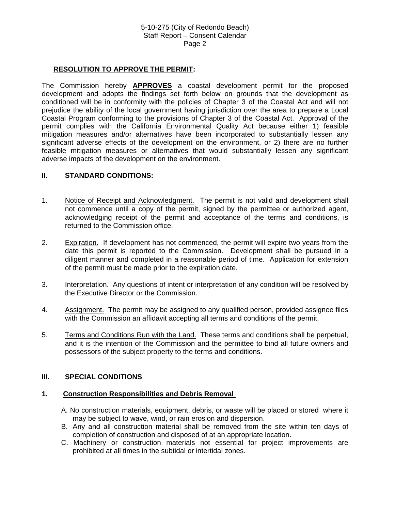## **RESOLUTION TO APPROVE THE PERMIT:**

The Commission hereby **APPROVES** a coastal development permit for the proposed development and adopts the findings set forth below on grounds that the development as conditioned will be in conformity with the policies of Chapter 3 of the Coastal Act and will not prejudice the ability of the local government having jurisdiction over the area to prepare a Local Coastal Program conforming to the provisions of Chapter 3 of the Coastal Act. Approval of the permit complies with the California Environmental Quality Act because either 1) feasible mitigation measures and/or alternatives have been incorporated to substantially lessen any significant adverse effects of the development on the environment, or 2) there are no further feasible mitigation measures or alternatives that would substantially lessen any significant adverse impacts of the development on the environment.

#### **II. STANDARD CONDITIONS:**

- 1. Notice of Receipt and Acknowledgment. The permit is not valid and development shall not commence until a copy of the permit, signed by the permittee or authorized agent, acknowledging receipt of the permit and acceptance of the terms and conditions, is returned to the Commission office.
- 2. Expiration. If development has not commenced, the permit will expire two years from the date this permit is reported to the Commission. Development shall be pursued in a diligent manner and completed in a reasonable period of time. Application for extension of the permit must be made prior to the expiration date.
- 3. Interpretation. Any questions of intent or interpretation of any condition will be resolved by the Executive Director or the Commission.
- 4. Assignment. The permit may be assigned to any qualified person, provided assignee files with the Commission an affidavit accepting all terms and conditions of the permit.
- 5. Terms and Conditions Run with the Land. These terms and conditions shall be perpetual, and it is the intention of the Commission and the permittee to bind all future owners and possessors of the subject property to the terms and conditions.

#### **III. SPECIAL CONDITIONS**

#### **1. Construction Responsibilities and Debris Removal**

- A. No construction materials, equipment, debris, or waste will be placed or stored where it may be subject to wave, wind, or rain erosion and dispersion.
- B. Any and all construction material shall be removed from the site within ten days of completion of construction and disposed of at an appropriate location.
- C. Machinery or construction materials not essential for project improvements are prohibited at all times in the subtidal or intertidal zones.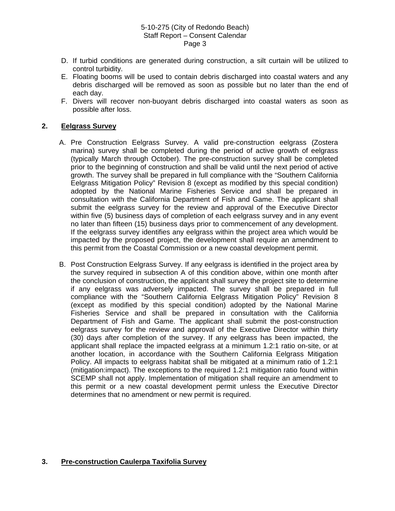- D. If turbid conditions are generated during construction, a silt curtain will be utilized to control turbidity.
- E. Floating booms will be used to contain debris discharged into coastal waters and any debris discharged will be removed as soon as possible but no later than the end of each day.
- F. Divers will recover non-buoyant debris discharged into coastal waters as soon as possible after loss.

## **2. Eelgrass Survey**

- A. Pre Construction Eelgrass Survey. A valid pre-construction eelgrass (Zostera marina) survey shall be completed during the period of active growth of eelgrass (typically March through October). The pre-construction survey shall be completed prior to the beginning of construction and shall be valid until the next period of active growth. The survey shall be prepared in full compliance with the "Southern California Eelgrass Mitigation Policy" Revision 8 (except as modified by this special condition) adopted by the National Marine Fisheries Service and shall be prepared in consultation with the California Department of Fish and Game. The applicant shall submit the eelgrass survey for the review and approval of the Executive Director within five (5) business days of completion of each eelgrass survey and in any event no later than fifteen (15) business days prior to commencement of any development. If the eelgrass survey identifies any eelgrass within the project area which would be impacted by the proposed project, the development shall require an amendment to this permit from the Coastal Commission or a new coastal development permit.
- B. Post Construction Eelgrass Survey. If any eelgrass is identified in the project area by the survey required in subsection A of this condition above, within one month after the conclusion of construction, the applicant shall survey the project site to determine if any eelgrass was adversely impacted. The survey shall be prepared in full compliance with the "Southern California Eelgrass Mitigation Policy" Revision 8 (except as modified by this special condition) adopted by the National Marine Fisheries Service and shall be prepared in consultation with the California Department of Fish and Game. The applicant shall submit the post-construction eelgrass survey for the review and approval of the Executive Director within thirty (30) days after completion of the survey. If any eelgrass has been impacted, the applicant shall replace the impacted eelgrass at a minimum 1.2:1 ratio on-site, or at another location, in accordance with the Southern California Eelgrass Mitigation Policy. All impacts to eelgrass habitat shall be mitigated at a minimum ratio of 1.2:1 (mitigation:impact). The exceptions to the required 1.2:1 mitigation ratio found within SCEMP shall not apply. Implementation of mitigation shall require an amendment to this permit or a new coastal development permit unless the Executive Director determines that no amendment or new permit is required.

## **3. Pre-construction Caulerpa Taxifolia Survey**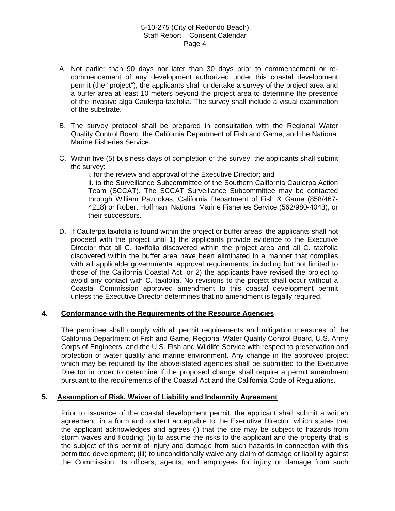- A. Not earlier than 90 days nor later than 30 days prior to commencement or recommencement of any development authorized under this coastal development permit (the "project"), the applicants shall undertake a survey of the project area and a buffer area at least 10 meters beyond the project area to determine the presence of the invasive alga Caulerpa taxifolia. The survey shall include a visual examination of the substrate.
- B. The survey protocol shall be prepared in consultation with the Regional Water Quality Control Board, the California Department of Fish and Game, and the National Marine Fisheries Service.
- C. Within five (5) business days of completion of the survey, the applicants shall submit the survey:

i. for the review and approval of the Executive Director; and

ii. to the Surveillance Subcommittee of the Southern California Caulerpa Action Team (SCCAT). The SCCAT Surveillance Subcommittee may be contacted through William Paznokas, California Department of Fish & Game (858/467- 4218) or Robert Hoffman, National Marine Fisheries Service (562/980-4043), or their successors.

D. If Caulerpa taxifolia is found within the project or buffer areas, the applicants shall not proceed with the project until 1) the applicants provide evidence to the Executive Director that all C. taxifolia discovered within the project area and all C. taxifolia discovered within the buffer area have been eliminated in a manner that complies with all applicable governmental approval requirements, including but not limited to those of the California Coastal Act, or 2) the applicants have revised the project to avoid any contact with C. taxifolia. No revisions to the project shall occur without a Coastal Commission approved amendment to this coastal development permit unless the Executive Director determines that no amendment is legally required.

#### **4. Conformance with the Requirements of the Resource Agencies**

The permittee shall comply with all permit requirements and mitigation measures of the California Department of Fish and Game, Regional Water Quality Control Board, U.S. Army Corps of Engineers, and the U.S. Fish and Wildlife Service with respect to preservation and protection of water quality and marine environment. Any change in the approved project which may be required by the above-stated agencies shall be submitted to the Executive Director in order to determine if the proposed change shall require a permit amendment pursuant to the requirements of the Coastal Act and the California Code of Regulations.

#### **5. Assumption of Risk, Waiver of Liability and Indemnity Agreement**

Prior to issuance of the coastal development permit, the applicant shall submit a written agreement, in a form and content acceptable to the Executive Director, which states that the applicant acknowledges and agrees (i) that the site may be subject to hazards from storm waves and flooding; (ii) to assume the risks to the applicant and the property that is the subject of this permit of injury and damage from such hazards in connection with this permitted development; (iii) to unconditionally waive any claim of damage or liability against the Commission, its officers, agents, and employees for injury or damage from such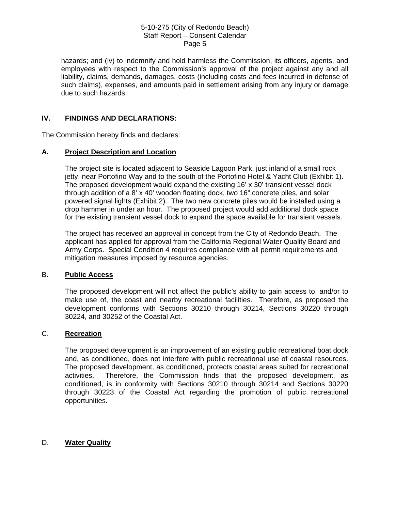hazards; and (iv) to indemnify and hold harmless the Commission, its officers, agents, and employees with respect to the Commission's approval of the project against any and all liability, claims, demands, damages, costs (including costs and fees incurred in defense of such claims), expenses, and amounts paid in settlement arising from any injury or damage due to such hazards.

## **IV. FINDINGS AND DECLARATIONS:**

The Commission hereby finds and declares:

## **A. Project Description and Location**

The project site is located adjacent to Seaside Lagoon Park, just inland of a small rock jetty, near Portofino Way and to the south of the Portofino Hotel & Yacht Club (Exhibit 1). The proposed development would expand the existing 16' x 30' transient vessel dock through addition of a 8' x 40' wooden floating dock, two 16" concrete piles, and solar powered signal lights (Exhibit 2). The two new concrete piles would be installed using a drop hammer in under an hour. The proposed project would add additional dock space for the existing transient vessel dock to expand the space available for transient vessels.

The project has received an approval in concept from the City of Redondo Beach. The applicant has applied for approval from the California Regional Water Quality Board and Army Corps. Special Condition 4 requires compliance with all permit requirements and mitigation measures imposed by resource agencies.

#### B. **Public Access**

The proposed development will not affect the public's ability to gain access to, and/or to make use of, the coast and nearby recreational facilities. Therefore, as proposed the development conforms with Sections 30210 through 30214, Sections 30220 through 30224, and 30252 of the Coastal Act.

## C. **Recreation**

The proposed development is an improvement of an existing public recreational boat dock and, as conditioned, does not interfere with public recreational use of coastal resources. The proposed development, as conditioned, protects coastal areas suited for recreational activities. Therefore, the Commission finds that the proposed development, as conditioned, is in conformity with Sections 30210 through 30214 and Sections 30220 through 30223 of the Coastal Act regarding the promotion of public recreational opportunities.

#### D. **Water Quality**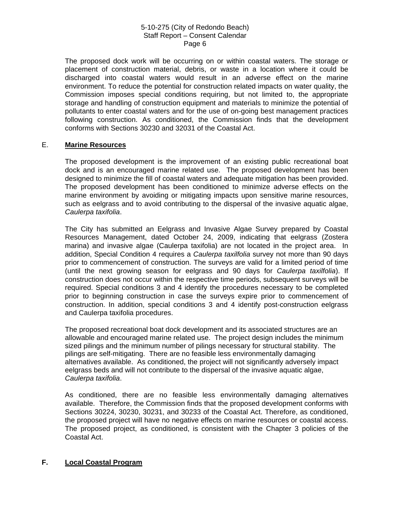The proposed dock work will be occurring on or within coastal waters. The storage or placement of construction material, debris, or waste in a location where it could be discharged into coastal waters would result in an adverse effect on the marine environment. To reduce the potential for construction related impacts on water quality, the Commission imposes special conditions requiring, but not limited to, the appropriate storage and handling of construction equipment and materials to minimize the potential of pollutants to enter coastal waters and for the use of on-going best management practices following construction. As conditioned, the Commission finds that the development conforms with Sections 30230 and 32031 of the Coastal Act.

## E. **Marine Resources**

The proposed development is the improvement of an existing public recreational boat dock and is an encouraged marine related use. The proposed development has been designed to minimize the fill of coastal waters and adequate mitigation has been provided. The proposed development has been conditioned to minimize adverse effects on the marine environment by avoiding or mitigating impacts upon sensitive marine resources, such as eelgrass and to avoid contributing to the dispersal of the invasive aquatic algae, *Caulerpa taxifolia*.

The City has submitted an Eelgrass and Invasive Algae Survey prepared by Coastal Resources Management, dated October 24, 2009, indicating that eelgrass (Zostera marina) and invasive algae (Caulerpa taxifolia) are not located in the project area. In addition, Special Condition 4 requires a *Caulerpa taxilfolia* survey not more than 90 days prior to commencement of construction. The surveys are valid for a limited period of time (until the next growing season for eelgrass and 90 days for *Caulerpa taxilfolia*). If construction does not occur within the respective time periods, subsequent surveys will be required. Special conditions 3 and 4 identify the procedures necessary to be completed prior to beginning construction in case the surveys expire prior to commencement of construction. In addition, special conditions 3 and 4 identify post-construction eelgrass and Caulerpa taxifolia procedures.

The proposed recreational boat dock development and its associated structures are an allowable and encouraged marine related use. The project design includes the minimum sized pilings and the minimum number of pilings necessary for structural stability. The pilings are self-mitigating. There are no feasible less environmentally damaging alternatives available. As conditioned, the project will not significantly adversely impact eelgrass beds and will not contribute to the dispersal of the invasive aquatic algae, *Caulerpa taxifolia*.

As conditioned, there are no feasible less environmentally damaging alternatives available. Therefore, the Commission finds that the proposed development conforms with Sections 30224, 30230, 30231, and 30233 of the Coastal Act. Therefore, as conditioned, the proposed project will have no negative effects on marine resources or coastal access. The proposed project, as conditioned, is consistent with the Chapter 3 policies of the Coastal Act.

## **F. Local Coastal Program**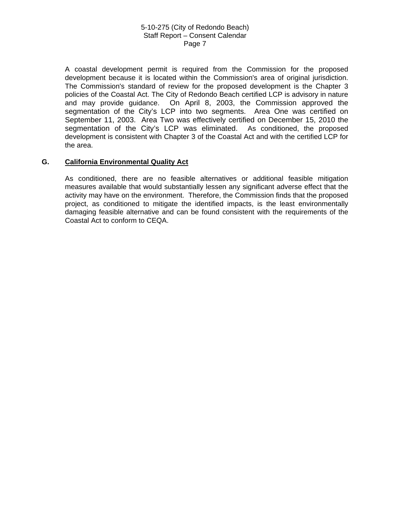A coastal development permit is required from the Commission for the proposed development because it is located within the Commission's area of original jurisdiction. The Commission's standard of review for the proposed development is the Chapter 3 policies of the Coastal Act. The City of Redondo Beach certified LCP is advisory in nature and may provide guidance. On April 8, 2003, the Commission approved the segmentation of the City's LCP into two segments. Area One was certified on September 11, 2003. Area Two was effectively certified on December 15, 2010 the segmentation of the City's LCP was eliminated. As conditioned, the proposed development is consistent with Chapter 3 of the Coastal Act and with the certified LCP for the area.

## **G. California Environmental Quality Act**

As conditioned, there are no feasible alternatives or additional feasible mitigation measures available that would substantially lessen any significant adverse effect that the activity may have on the environment. Therefore, the Commission finds that the proposed project, as conditioned to mitigate the identified impacts, is the least environmentally damaging feasible alternative and can be found consistent with the requirements of the Coastal Act to conform to CEQA.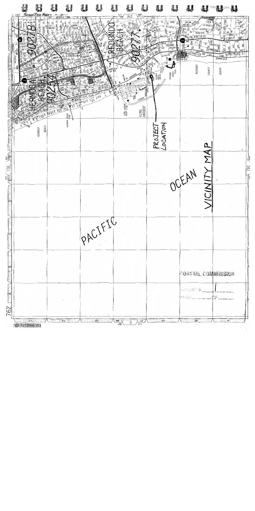